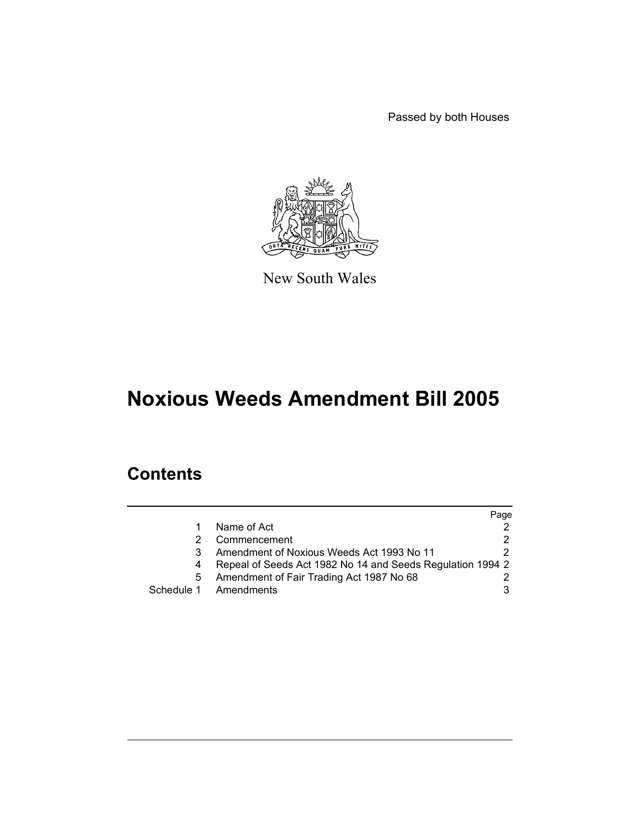Passed by both Houses



New South Wales

# **Noxious Weeds Amendment Bill 2005**

# **Contents**

|   |                                                            | Page |
|---|------------------------------------------------------------|------|
|   | Name of Act                                                |      |
|   | Commencement                                               |      |
| 3 | Amendment of Noxious Weeds Act 1993 No 11                  |      |
|   | Repeal of Seeds Act 1982 No 14 and Seeds Regulation 1994 2 |      |
| 5 | Amendment of Fair Trading Act 1987 No 68                   |      |
|   | Schedule 1 Amendments                                      |      |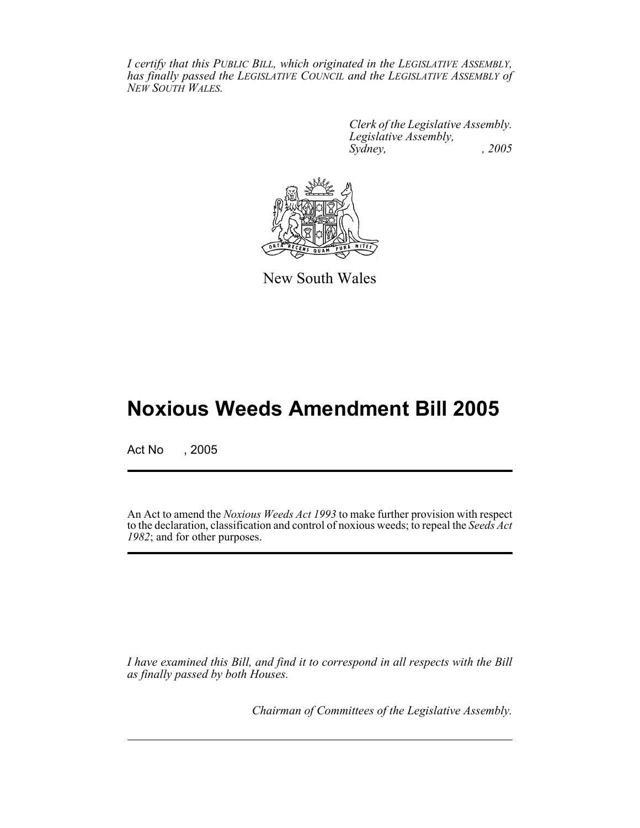*I certify that this PUBLIC BILL, which originated in the LEGISLATIVE ASSEMBLY, has finally passed the LEGISLATIVE COUNCIL and the LEGISLATIVE ASSEMBLY of NEW SOUTH WALES.*

> *Clerk of the Legislative Assembly. Legislative Assembly, Sydney, , 2005*



New South Wales

# **Noxious Weeds Amendment Bill 2005**

Act No , 2005

An Act to amend the *Noxious Weeds Act 1993* to make further provision with respect to the declaration, classification and control of noxious weeds; to repeal the *Seeds Act 1982*; and for other purposes.

*I have examined this Bill, and find it to correspond in all respects with the Bill as finally passed by both Houses.*

*Chairman of Committees of the Legislative Assembly.*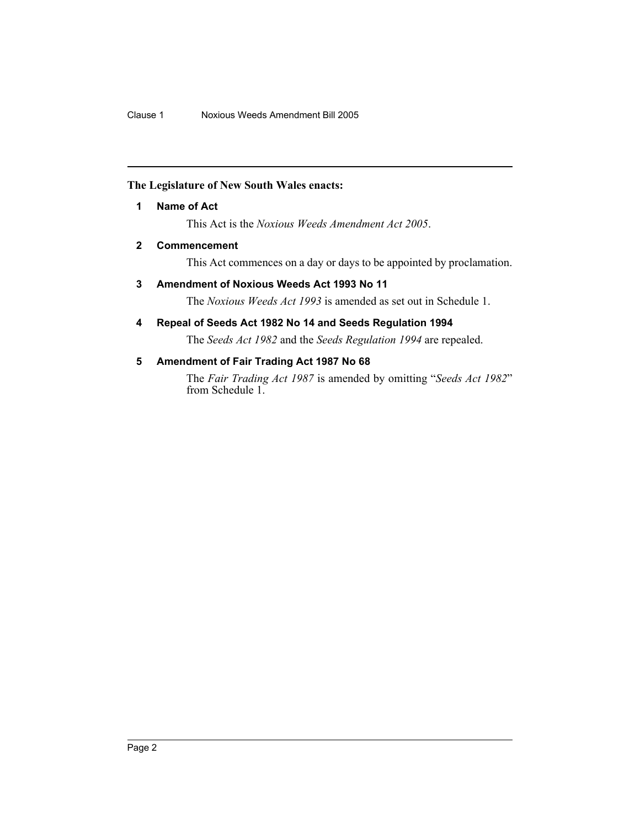# **The Legislature of New South Wales enacts:**

# **1 Name of Act**

This Act is the *Noxious Weeds Amendment Act 2005*.

# **2 Commencement**

This Act commences on a day or days to be appointed by proclamation.

# **3 Amendment of Noxious Weeds Act 1993 No 11**

The *Noxious Weeds Act 1993* is amended as set out in Schedule 1.

# **4 Repeal of Seeds Act 1982 No 14 and Seeds Regulation 1994**

The *Seeds Act 1982* and the *Seeds Regulation 1994* are repealed.

# **5 Amendment of Fair Trading Act 1987 No 68**

The *Fair Trading Act 1987* is amended by omitting "*Seeds Act 1982*" from Schedule 1.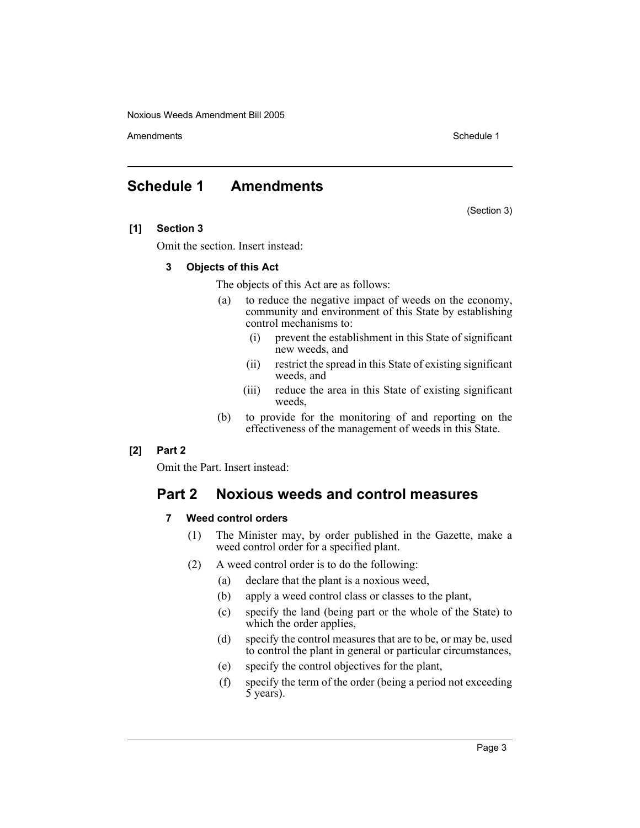Amendments **Amendments** Schedule 1

# **Schedule 1 Amendments**

(Section 3)

# **[1] Section 3**

Omit the section. Insert instead:

## **3 Objects of this Act**

The objects of this Act are as follows:

- (a) to reduce the negative impact of weeds on the economy, community and environment of this State by establishing control mechanisms to:
	- (i) prevent the establishment in this State of significant new weeds, and
	- (ii) restrict the spread in this State of existing significant weeds, and
	- (iii) reduce the area in this State of existing significant weeds,
- (b) to provide for the monitoring of and reporting on the effectiveness of the management of weeds in this State.

## **[2] Part 2**

Omit the Part. Insert instead:

# **Part 2 Noxious weeds and control measures**

# **7 Weed control orders**

- (1) The Minister may, by order published in the Gazette, make a weed control order for a specified plant.
- (2) A weed control order is to do the following:
	- (a) declare that the plant is a noxious weed,
	- (b) apply a weed control class or classes to the plant,
	- (c) specify the land (being part or the whole of the State) to which the order applies,
	- (d) specify the control measures that are to be, or may be, used to control the plant in general or particular circumstances,
	- (e) specify the control objectives for the plant,
	- (f) specify the term of the order (being a period not exceeding 5 years).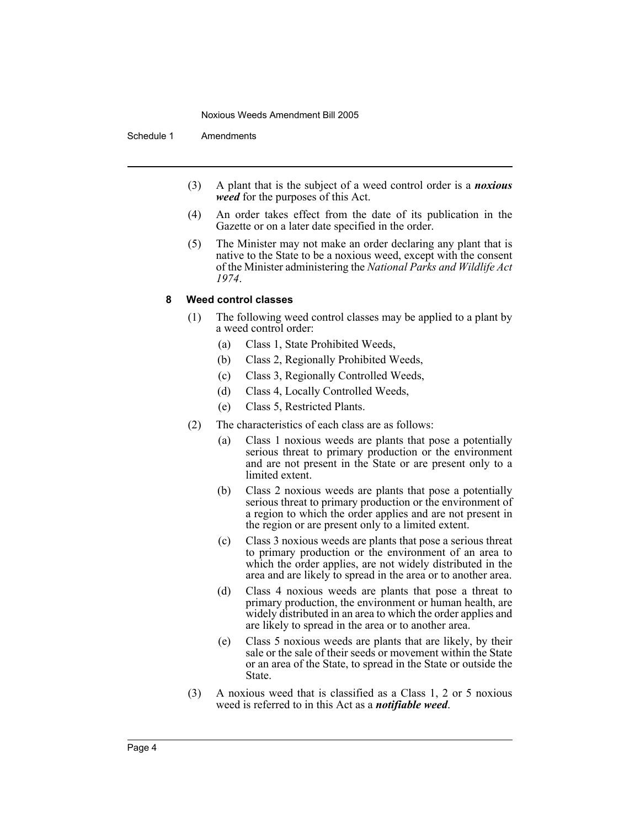Schedule 1 Amendments

- (3) A plant that is the subject of a weed control order is a *noxious weed* for the purposes of this Act.
- (4) An order takes effect from the date of its publication in the Gazette or on a later date specified in the order.
- (5) The Minister may not make an order declaring any plant that is native to the State to be a noxious weed, except with the consent of the Minister administering the *National Parks and Wildlife Act 1974*.

## **8 Weed control classes**

- (1) The following weed control classes may be applied to a plant by a weed control order:
	- (a) Class 1, State Prohibited Weeds,
	- (b) Class 2, Regionally Prohibited Weeds,
	- (c) Class 3, Regionally Controlled Weeds,
	- (d) Class 4, Locally Controlled Weeds,
	- (e) Class 5, Restricted Plants.
- (2) The characteristics of each class are as follows:
	- (a) Class 1 noxious weeds are plants that pose a potentially serious threat to primary production or the environment and are not present in the State or are present only to a limited extent.
	- (b) Class 2 noxious weeds are plants that pose a potentially serious threat to primary production or the environment of a region to which the order applies and are not present in the region or are present only to a limited extent.
	- (c) Class 3 noxious weeds are plants that pose a serious threat to primary production or the environment of an area to which the order applies, are not widely distributed in the area and are likely to spread in the area or to another area.
	- (d) Class 4 noxious weeds are plants that pose a threat to primary production, the environment or human health, are widely distributed in an area to which the order applies and are likely to spread in the area or to another area.
	- (e) Class 5 noxious weeds are plants that are likely, by their sale or the sale of their seeds or movement within the State or an area of the State, to spread in the State or outside the State.
- (3) A noxious weed that is classified as a Class 1, 2 or 5 noxious weed is referred to in this Act as a *notifiable weed*.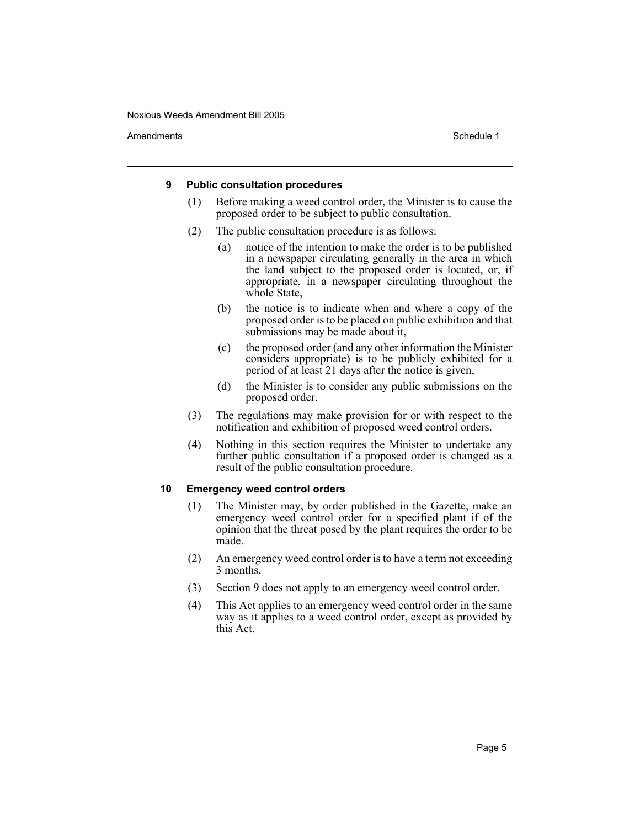Amendments **Schedule 1** and the set of the set of the set of the set of the set of the set of the set of the set of the set of the set of the set of the set of the set of the set of the set of the set of the set of the set

## **9 Public consultation procedures**

- (1) Before making a weed control order, the Minister is to cause the proposed order to be subject to public consultation.
- (2) The public consultation procedure is as follows:
	- (a) notice of the intention to make the order is to be published in a newspaper circulating generally in the area in which the land subject to the proposed order is located, or, if appropriate, in a newspaper circulating throughout the whole State,
	- (b) the notice is to indicate when and where a copy of the proposed order is to be placed on public exhibition and that submissions may be made about it,
	- (c) the proposed order (and any other information the Minister considers appropriate) is to be publicly exhibited for a period of at least 21 days after the notice is given,
	- (d) the Minister is to consider any public submissions on the proposed order.
- (3) The regulations may make provision for or with respect to the notification and exhibition of proposed weed control orders.
- (4) Nothing in this section requires the Minister to undertake any further public consultation if a proposed order is changed as a result of the public consultation procedure.

## **10 Emergency weed control orders**

- (1) The Minister may, by order published in the Gazette, make an emergency weed control order for a specified plant if of the opinion that the threat posed by the plant requires the order to be made.
- (2) An emergency weed control order is to have a term not exceeding 3 months.
- (3) Section 9 does not apply to an emergency weed control order.
- (4) This Act applies to an emergency weed control order in the same way as it applies to a weed control order, except as provided by this Act.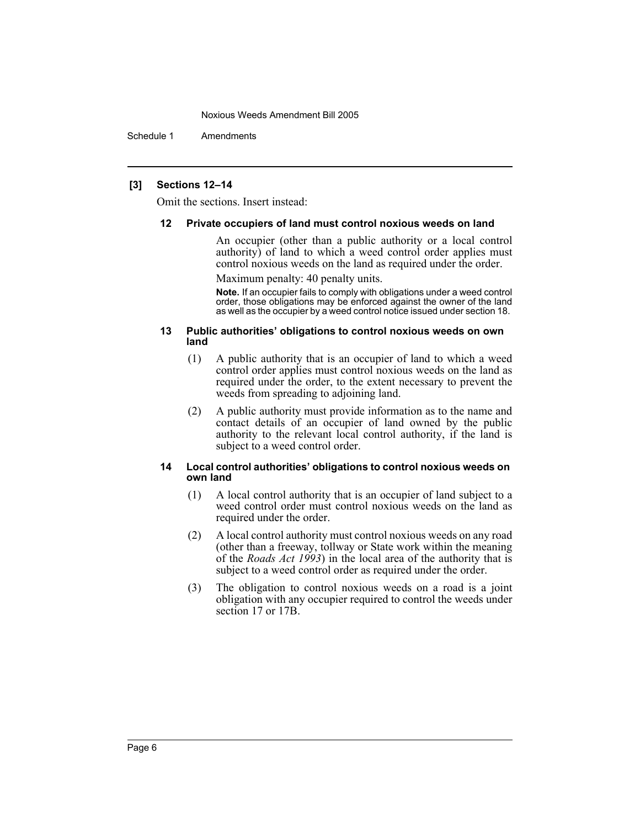Schedule 1 Amendments

## **[3] Sections 12–14**

Omit the sections. Insert instead:

## **12 Private occupiers of land must control noxious weeds on land**

An occupier (other than a public authority or a local control authority) of land to which a weed control order applies must control noxious weeds on the land as required under the order.

Maximum penalty: 40 penalty units.

**Note.** If an occupier fails to comply with obligations under a weed control order, those obligations may be enforced against the owner of the land as well as the occupier by a weed control notice issued under section 18.

## **13 Public authorities' obligations to control noxious weeds on own land**

- (1) A public authority that is an occupier of land to which a weed control order applies must control noxious weeds on the land as required under the order, to the extent necessary to prevent the weeds from spreading to adjoining land.
- (2) A public authority must provide information as to the name and contact details of an occupier of land owned by the public authority to the relevant local control authority, if the land is subject to a weed control order.

## **14 Local control authorities' obligations to control noxious weeds on own land**

- (1) A local control authority that is an occupier of land subject to a weed control order must control noxious weeds on the land as required under the order.
- (2) A local control authority must control noxious weeds on any road (other than a freeway, tollway or State work within the meaning of the *Roads Act 1993*) in the local area of the authority that is subject to a weed control order as required under the order.
- (3) The obligation to control noxious weeds on a road is a joint obligation with any occupier required to control the weeds under section 17 or 17B.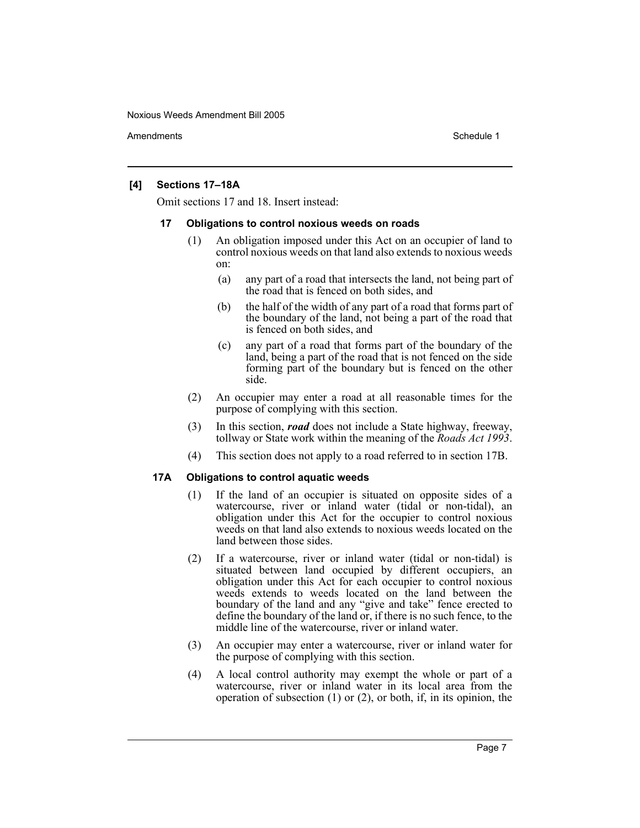Amendments **Amendments** Schedule 1

## **[4] Sections 17–18A**

Omit sections 17 and 18. Insert instead:

## **17 Obligations to control noxious weeds on roads**

- (1) An obligation imposed under this Act on an occupier of land to control noxious weeds on that land also extends to noxious weeds on:
	- (a) any part of a road that intersects the land, not being part of the road that is fenced on both sides, and
	- (b) the half of the width of any part of a road that forms part of the boundary of the land, not being a part of the road that is fenced on both sides, and
	- (c) any part of a road that forms part of the boundary of the land, being a part of the road that is not fenced on the side forming part of the boundary but is fenced on the other side.
- (2) An occupier may enter a road at all reasonable times for the purpose of complying with this section.
- (3) In this section, *road* does not include a State highway, freeway, tollway or State work within the meaning of the *Roads Act 1993*.
- (4) This section does not apply to a road referred to in section 17B.

# **17A Obligations to control aquatic weeds**

- (1) If the land of an occupier is situated on opposite sides of a watercourse, river or inland water (tidal or non-tidal), an obligation under this Act for the occupier to control noxious weeds on that land also extends to noxious weeds located on the land between those sides.
- (2) If a watercourse, river or inland water (tidal or non-tidal) is situated between land occupied by different occupiers, an obligation under this Act for each occupier to control noxious weeds extends to weeds located on the land between the boundary of the land and any "give and take" fence erected to define the boundary of the land or, if there is no such fence, to the middle line of the watercourse, river or inland water.
- (3) An occupier may enter a watercourse, river or inland water for the purpose of complying with this section.
- (4) A local control authority may exempt the whole or part of a watercourse, river or inland water in its local area from the operation of subsection (1) or (2), or both, if, in its opinion, the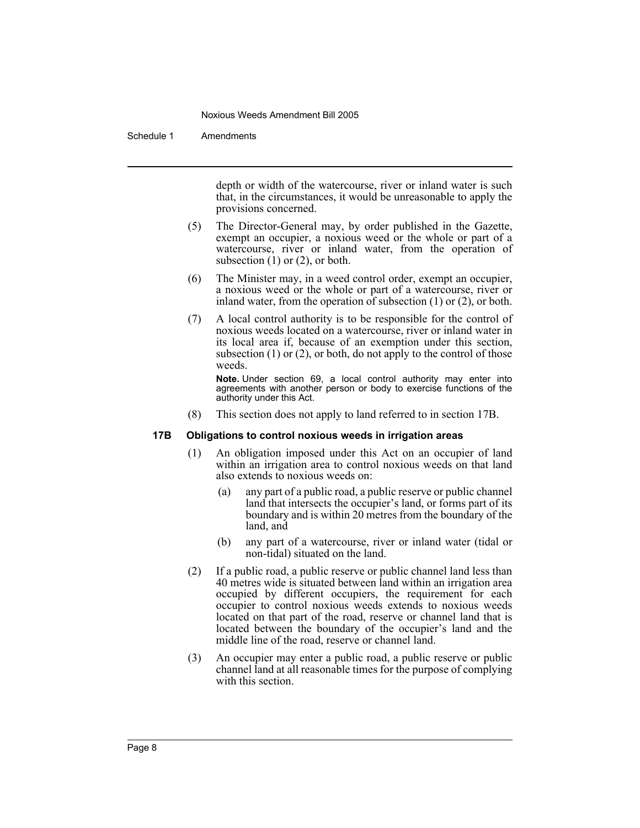Schedule 1 Amendments

depth or width of the watercourse, river or inland water is such that, in the circumstances, it would be unreasonable to apply the provisions concerned.

- (5) The Director-General may, by order published in the Gazette, exempt an occupier, a noxious weed or the whole or part of a watercourse, river or inland water, from the operation of subsection  $(1)$  or  $(2)$ , or both.
- (6) The Minister may, in a weed control order, exempt an occupier, a noxious weed or the whole or part of a watercourse, river or inland water, from the operation of subsection (1) or (2), or both.
- (7) A local control authority is to be responsible for the control of noxious weeds located on a watercourse, river or inland water in its local area if, because of an exemption under this section, subsection  $(1)$  or  $(2)$ , or both, do not apply to the control of those weeds.

**Note.** Under section 69, a local control authority may enter into agreements with another person or body to exercise functions of the authority under this Act.

(8) This section does not apply to land referred to in section 17B.

## **17B Obligations to control noxious weeds in irrigation areas**

- (1) An obligation imposed under this Act on an occupier of land within an irrigation area to control noxious weeds on that land also extends to noxious weeds on:
	- (a) any part of a public road, a public reserve or public channel land that intersects the occupier's land, or forms part of its boundary and is within 20 metres from the boundary of the land, and
	- (b) any part of a watercourse, river or inland water (tidal or non-tidal) situated on the land.
- (2) If a public road, a public reserve or public channel land less than 40 metres wide is situated between land within an irrigation area occupied by different occupiers, the requirement for each occupier to control noxious weeds extends to noxious weeds located on that part of the road, reserve or channel land that is located between the boundary of the occupier's land and the middle line of the road, reserve or channel land.
- (3) An occupier may enter a public road, a public reserve or public channel land at all reasonable times for the purpose of complying with this section.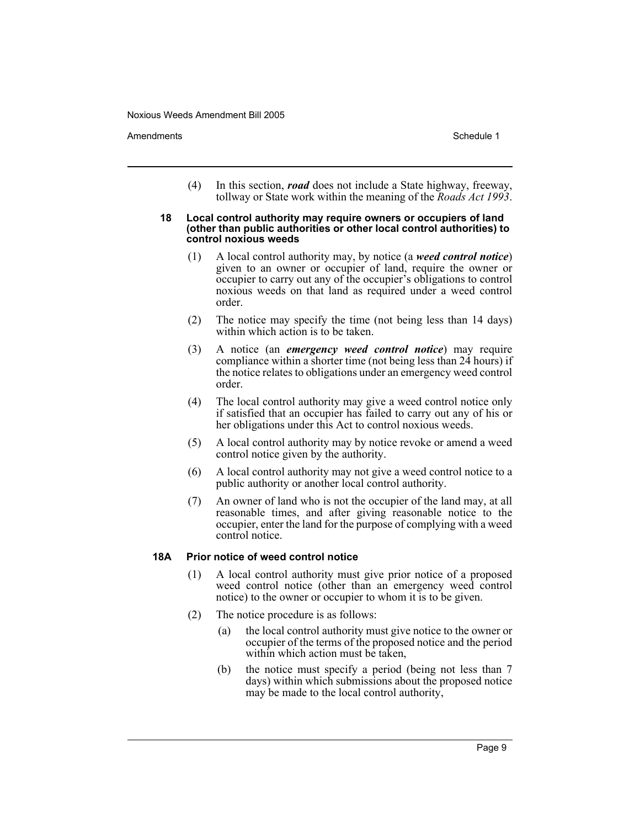Amendments **Schedule 1** and the set of the set of the set of the set of the set of the set of the set of the set of the set of the set of the set of the set of the set of the set of the set of the set of the set of the set

(4) In this section, *road* does not include a State highway, freeway, tollway or State work within the meaning of the *Roads Act 1993*.

### **18 Local control authority may require owners or occupiers of land (other than public authorities or other local control authorities) to control noxious weeds**

- (1) A local control authority may, by notice (a *weed control notice*) given to an owner or occupier of land, require the owner or occupier to carry out any of the occupier's obligations to control noxious weeds on that land as required under a weed control order.
- (2) The notice may specify the time (not being less than 14 days) within which action is to be taken.
- (3) A notice (an *emergency weed control notice*) may require compliance within a shorter time (not being less than 24 hours) if the notice relates to obligations under an emergency weed control order.
- (4) The local control authority may give a weed control notice only if satisfied that an occupier has failed to carry out any of his or her obligations under this Act to control noxious weeds.
- (5) A local control authority may by notice revoke or amend a weed control notice given by the authority.
- (6) A local control authority may not give a weed control notice to a public authority or another local control authority.
- (7) An owner of land who is not the occupier of the land may, at all reasonable times, and after giving reasonable notice to the occupier, enter the land for the purpose of complying with a weed control notice.

## **18A Prior notice of weed control notice**

- (1) A local control authority must give prior notice of a proposed weed control notice (other than an emergency weed control notice) to the owner or occupier to whom it is to be given.
- (2) The notice procedure is as follows:
	- (a) the local control authority must give notice to the owner or occupier of the terms of the proposed notice and the period within which action must be taken,
	- (b) the notice must specify a period (being not less than 7 days) within which submissions about the proposed notice may be made to the local control authority,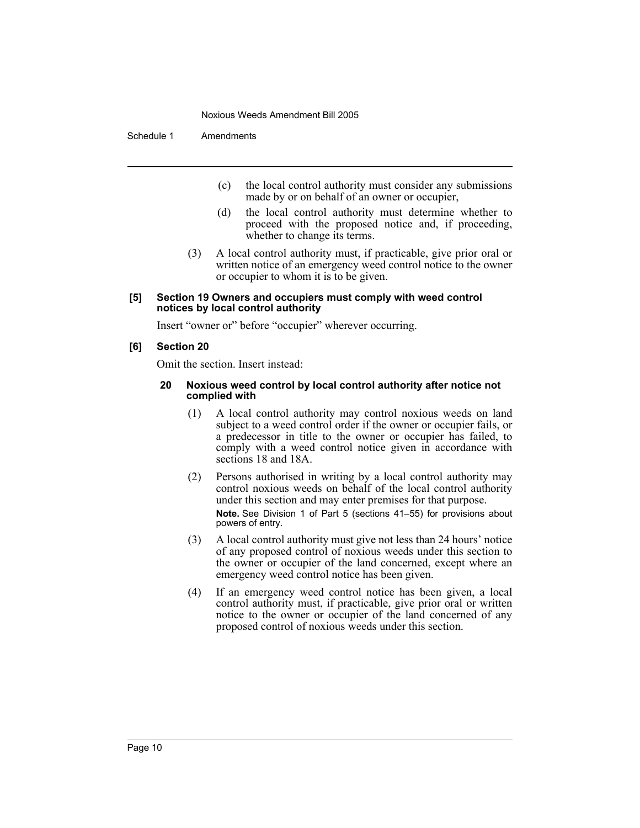Schedule 1 Amendments

- (c) the local control authority must consider any submissions made by or on behalf of an owner or occupier,
- (d) the local control authority must determine whether to proceed with the proposed notice and, if proceeding, whether to change its terms.
- (3) A local control authority must, if practicable, give prior oral or written notice of an emergency weed control notice to the owner or occupier to whom it is to be given.

## **[5] Section 19 Owners and occupiers must comply with weed control notices by local control authority**

Insert "owner or" before "occupier" wherever occurring.

## **[6] Section 20**

Omit the section. Insert instead:

## **20 Noxious weed control by local control authority after notice not complied with**

- (1) A local control authority may control noxious weeds on land subject to a weed control order if the owner or occupier fails, or a predecessor in title to the owner or occupier has failed, to comply with a weed control notice given in accordance with sections 18 and 18A.
- (2) Persons authorised in writing by a local control authority may control noxious weeds on behalf of the local control authority under this section and may enter premises for that purpose. **Note.** See Division 1 of Part 5 (sections 41–55) for provisions about powers of entry.
- (3) A local control authority must give not less than 24 hours' notice of any proposed control of noxious weeds under this section to the owner or occupier of the land concerned, except where an emergency weed control notice has been given.
- (4) If an emergency weed control notice has been given, a local control authority must, if practicable, give prior oral or written notice to the owner or occupier of the land concerned of any proposed control of noxious weeds under this section.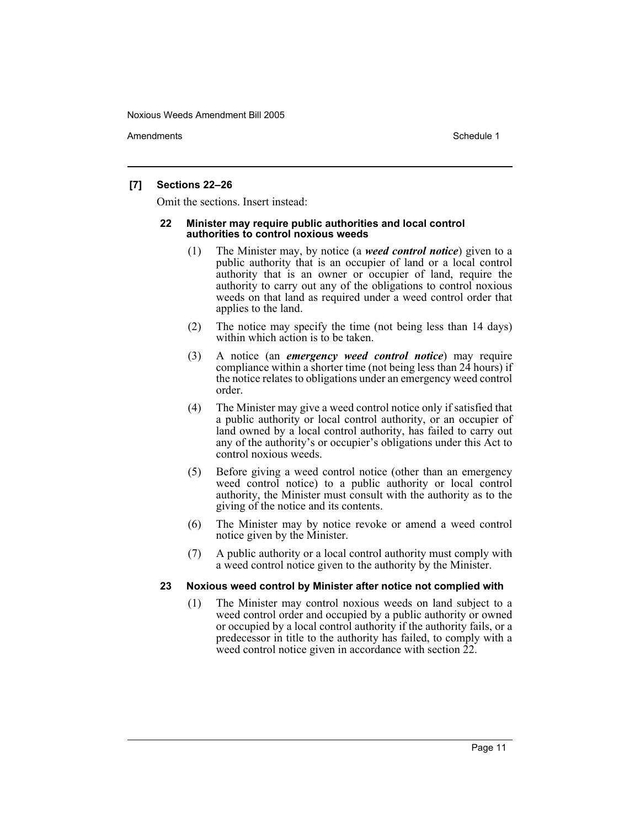Amendments **Schedule 1** and the set of the set of the set of the set of the set of the set of the set of the set of the set of the set of the set of the set of the set of the set of the set of the set of the set of the set

## **[7] Sections 22–26**

Omit the sections. Insert instead:

## **22 Minister may require public authorities and local control authorities to control noxious weeds**

- (1) The Minister may, by notice (a *weed control notice*) given to a public authority that is an occupier of land or a local control authority that is an owner or occupier of land, require the authority to carry out any of the obligations to control noxious weeds on that land as required under a weed control order that applies to the land.
- (2) The notice may specify the time (not being less than 14 days) within which action is to be taken.
- (3) A notice (an *emergency weed control notice*) may require compliance within a shorter time (not being less than 24 hours) if the notice relates to obligations under an emergency weed control order.
- (4) The Minister may give a weed control notice only if satisfied that a public authority or local control authority, or an occupier of land owned by a local control authority, has failed to carry out any of the authority's or occupier's obligations under this Act to control noxious weeds.
- (5) Before giving a weed control notice (other than an emergency weed control notice) to a public authority or local control authority, the Minister must consult with the authority as to the giving of the notice and its contents.
- (6) The Minister may by notice revoke or amend a weed control notice given by the Minister.
- (7) A public authority or a local control authority must comply with a weed control notice given to the authority by the Minister.

## **23 Noxious weed control by Minister after notice not complied with**

(1) The Minister may control noxious weeds on land subject to a weed control order and occupied by a public authority or owned or occupied by a local control authority if the authority fails, or a predecessor in title to the authority has failed, to comply with a weed control notice given in accordance with section  $\tilde{2}2$ .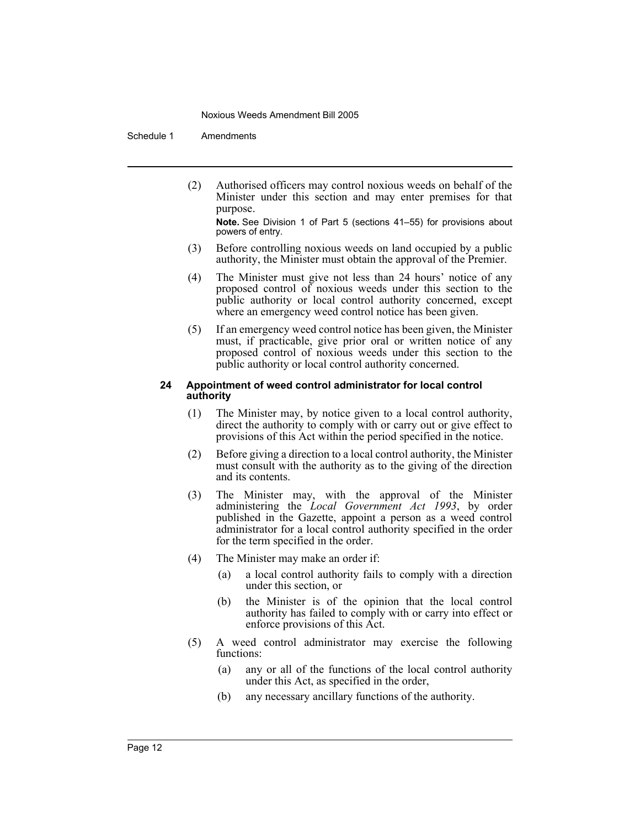Schedule 1 Amendments

(2) Authorised officers may control noxious weeds on behalf of the Minister under this section and may enter premises for that purpose.

**Note.** See Division 1 of Part 5 (sections 41–55) for provisions about powers of entry.

- (3) Before controlling noxious weeds on land occupied by a public authority, the Minister must obtain the approval of the Premier.
- (4) The Minister must give not less than 24 hours' notice of any proposed control of noxious weeds under this section to the public authority or local control authority concerned, except where an emergency weed control notice has been given.
- (5) If an emergency weed control notice has been given, the Minister must, if practicable, give prior oral or written notice of any proposed control of noxious weeds under this section to the public authority or local control authority concerned.

## **24 Appointment of weed control administrator for local control authority**

- (1) The Minister may, by notice given to a local control authority, direct the authority to comply with or carry out or give effect to provisions of this Act within the period specified in the notice.
- (2) Before giving a direction to a local control authority, the Minister must consult with the authority as to the giving of the direction and its contents.
- (3) The Minister may, with the approval of the Minister administering the *Local Government Act 1993*, by order published in the Gazette, appoint a person as a weed control administrator for a local control authority specified in the order for the term specified in the order.
- (4) The Minister may make an order if:
	- (a) a local control authority fails to comply with a direction under this section, or
	- (b) the Minister is of the opinion that the local control authority has failed to comply with or carry into effect or enforce provisions of this Act.
- (5) A weed control administrator may exercise the following functions:
	- (a) any or all of the functions of the local control authority under this Act, as specified in the order,
	- (b) any necessary ancillary functions of the authority.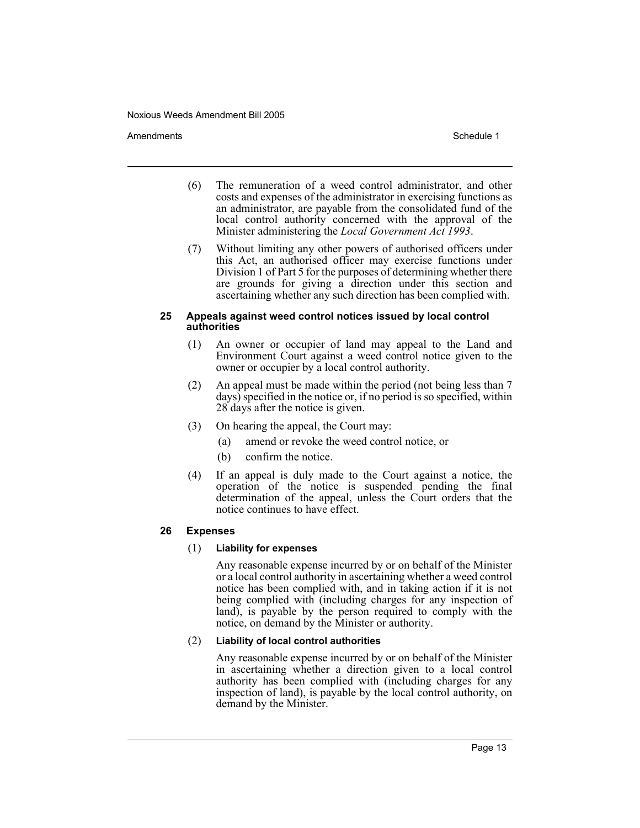## Amendments **Amendments** Schedule 1

- (6) The remuneration of a weed control administrator, and other costs and expenses of the administrator in exercising functions as an administrator, are payable from the consolidated fund of the local control authority concerned with the approval of the Minister administering the *Local Government Act 1993*.
- (7) Without limiting any other powers of authorised officers under this Act, an authorised officer may exercise functions under Division 1 of Part 5 for the purposes of determining whether there are grounds for giving a direction under this section and ascertaining whether any such direction has been complied with.

## **25 Appeals against weed control notices issued by local control authorities**

- (1) An owner or occupier of land may appeal to the Land and Environment Court against a weed control notice given to the owner or occupier by a local control authority.
- (2) An appeal must be made within the period (not being less than 7 days) specified in the notice or, if no period is so specified, within 28 days after the notice is given.
- (3) On hearing the appeal, the Court may:
	- (a) amend or revoke the weed control notice, or
	- (b) confirm the notice.
- (4) If an appeal is duly made to the Court against a notice, the operation of the notice is suspended pending the final determination of the appeal, unless the Court orders that the notice continues to have effect.

## **26 Expenses**

## (1) **Liability for expenses**

Any reasonable expense incurred by or on behalf of the Minister or a local control authority in ascertaining whether a weed control notice has been complied with, and in taking action if it is not being complied with (including charges for any inspection of land), is payable by the person required to comply with the notice, on demand by the Minister or authority.

# (2) **Liability of local control authorities**

Any reasonable expense incurred by or on behalf of the Minister in ascertaining whether a direction given to a local control authority has been complied with (including charges for any inspection of land), is payable by the local control authority, on demand by the Minister.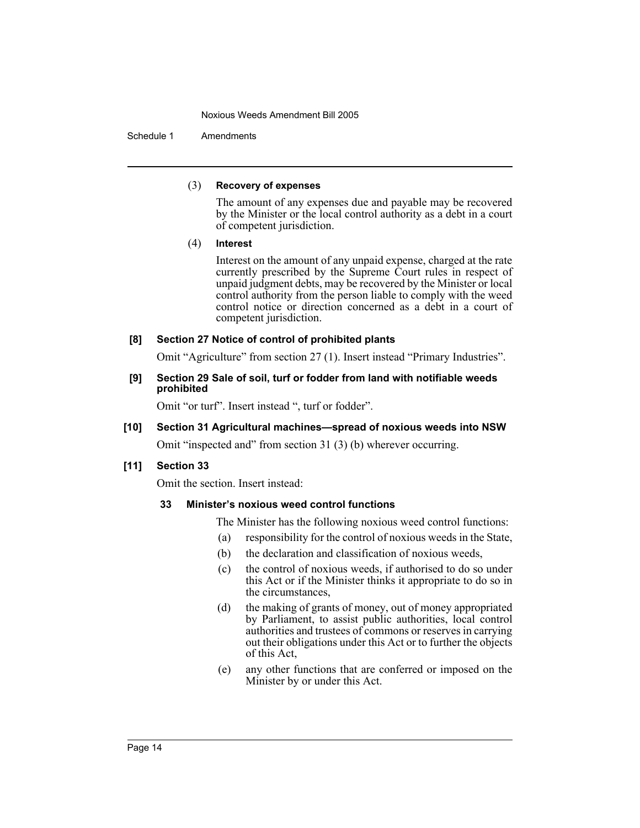Schedule 1 Amendments

## (3) **Recovery of expenses**

The amount of any expenses due and payable may be recovered by the Minister or the local control authority as a debt in a court of competent jurisdiction.

(4) **Interest**

Interest on the amount of any unpaid expense, charged at the rate currently prescribed by the Supreme Court rules in respect of unpaid judgment debts, may be recovered by the Minister or local control authority from the person liable to comply with the weed control notice or direction concerned as a debt in a court of competent jurisdiction.

# **[8] Section 27 Notice of control of prohibited plants**

Omit "Agriculture" from section 27 (1). Insert instead "Primary Industries".

**[9] Section 29 Sale of soil, turf or fodder from land with notifiable weeds prohibited**

Omit "or turf". Insert instead ", turf or fodder".

# **[10] Section 31 Agricultural machines—spread of noxious weeds into NSW**

Omit "inspected and" from section 31 (3) (b) wherever occurring.

# **[11] Section 33**

Omit the section. Insert instead:

# **33 Minister's noxious weed control functions**

The Minister has the following noxious weed control functions:

- (a) responsibility for the control of noxious weeds in the State,
- (b) the declaration and classification of noxious weeds,
- (c) the control of noxious weeds, if authorised to do so under this Act or if the Minister thinks it appropriate to do so in the circumstances,
- (d) the making of grants of money, out of money appropriated by Parliament, to assist public authorities, local control authorities and trustees of commons or reserves in carrying out their obligations under this Act or to further the objects of this Act,
- (e) any other functions that are conferred or imposed on the Minister by or under this Act.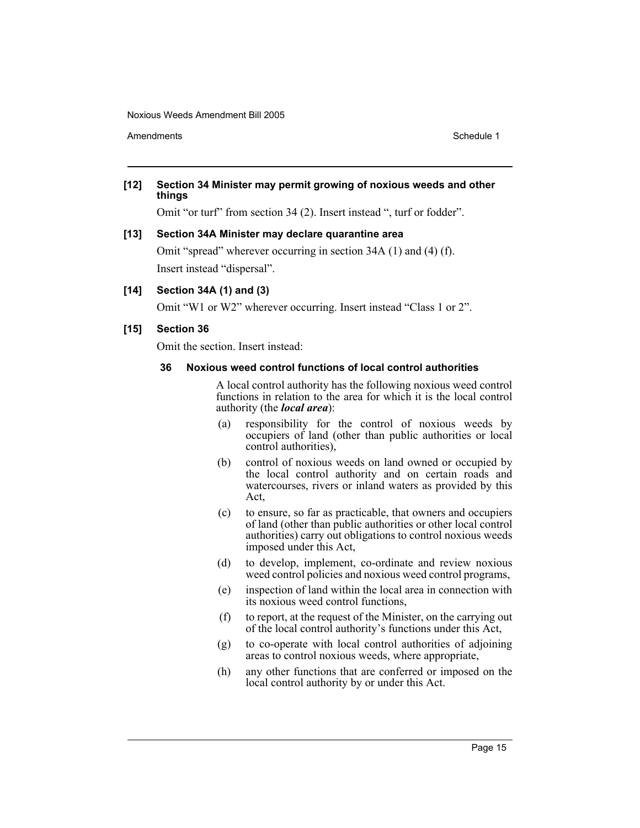Amendments **Amendments** Schedule 1

# **[12] Section 34 Minister may permit growing of noxious weeds and other things**

Omit "or turf" from section 34 (2). Insert instead ", turf or fodder".

## **[13] Section 34A Minister may declare quarantine area**

Omit "spread" wherever occurring in section 34A (1) and (4) (f). Insert instead "dispersal".

## **[14] Section 34A (1) and (3)**

Omit "W1 or W2" wherever occurring. Insert instead "Class 1 or 2".

## **[15] Section 36**

Omit the section. Insert instead:

## **36 Noxious weed control functions of local control authorities**

A local control authority has the following noxious weed control functions in relation to the area for which it is the local control authority (the *local area*):

- (a) responsibility for the control of noxious weeds by occupiers of land (other than public authorities or local control authorities),
- (b) control of noxious weeds on land owned or occupied by the local control authority and on certain roads and watercourses, rivers or inland waters as provided by this Act,
- (c) to ensure, so far as practicable, that owners and occupiers of land (other than public authorities or other local control authorities) carry out obligations to control noxious weeds imposed under this Act,
- (d) to develop, implement, co-ordinate and review noxious weed control policies and noxious weed control programs,
- (e) inspection of land within the local area in connection with its noxious weed control functions,
- (f) to report, at the request of the Minister, on the carrying out of the local control authority's functions under this Act,
- (g) to co-operate with local control authorities of adjoining areas to control noxious weeds, where appropriate,
- (h) any other functions that are conferred or imposed on the local control authority by or under this Act.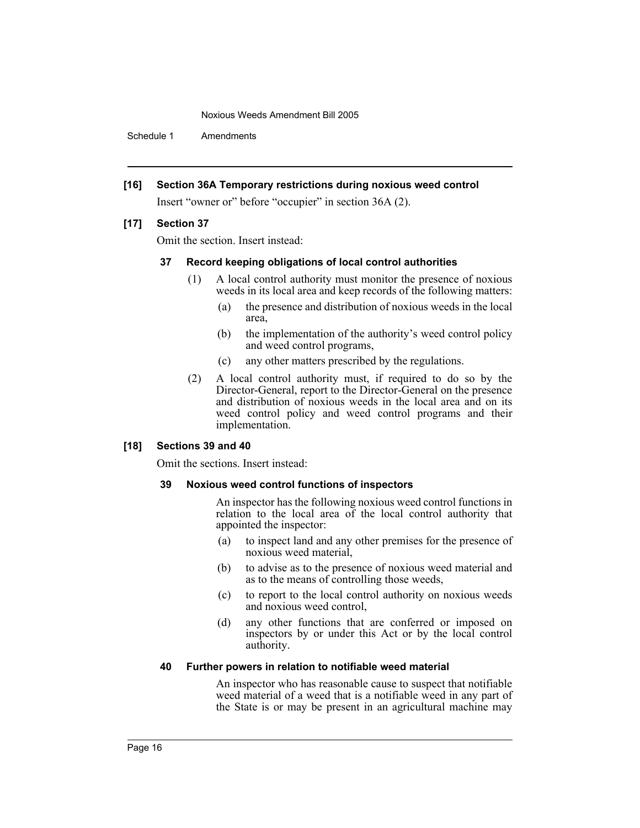Schedule 1 Amendments

## **[16] Section 36A Temporary restrictions during noxious weed control**

Insert "owner or" before "occupier" in section 36A (2).

## **[17] Section 37**

Omit the section. Insert instead:

## **37 Record keeping obligations of local control authorities**

- (1) A local control authority must monitor the presence of noxious weeds in its local area and keep records of the following matters:
	- (a) the presence and distribution of noxious weeds in the local area,
	- (b) the implementation of the authority's weed control policy and weed control programs,
	- (c) any other matters prescribed by the regulations.
- (2) A local control authority must, if required to do so by the Director-General, report to the Director-General on the presence and distribution of noxious weeds in the local area and on its weed control policy and weed control programs and their implementation.

## **[18] Sections 39 and 40**

Omit the sections. Insert instead:

## **39 Noxious weed control functions of inspectors**

An inspector has the following noxious weed control functions in relation to the local area of the local control authority that appointed the inspector:

- (a) to inspect land and any other premises for the presence of noxious weed material,
- (b) to advise as to the presence of noxious weed material and as to the means of controlling those weeds,
- (c) to report to the local control authority on noxious weeds and noxious weed control,
- (d) any other functions that are conferred or imposed on inspectors by or under this Act or by the local control authority.

## **40 Further powers in relation to notifiable weed material**

An inspector who has reasonable cause to suspect that notifiable weed material of a weed that is a notifiable weed in any part of the State is or may be present in an agricultural machine may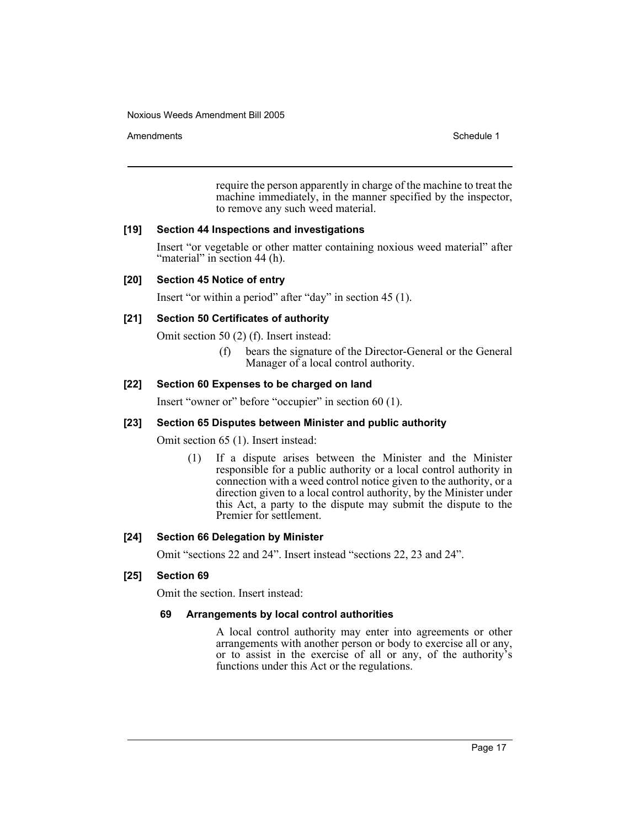## Amendments **Schedule 1** and the set of the set of the set of the set of the set of the set of the set of the set of the set of the set of the set of the set of the set of the set of the set of the set of the set of the set

require the person apparently in charge of the machine to treat the machine immediately, in the manner specified by the inspector, to remove any such weed material.

# **[19] Section 44 Inspections and investigations**

Insert "or vegetable or other matter containing noxious weed material" after "material" in section 44 (h).

# **[20] Section 45 Notice of entry**

Insert "or within a period" after "day" in section 45 (1).

# **[21] Section 50 Certificates of authority**

Omit section 50 (2) (f). Insert instead:

(f) bears the signature of the Director-General or the General Manager of a local control authority.

# **[22] Section 60 Expenses to be charged on land**

Insert "owner or" before "occupier" in section 60 (1).

# **[23] Section 65 Disputes between Minister and public authority**

Omit section 65 (1). Insert instead:

(1) If a dispute arises between the Minister and the Minister responsible for a public authority or a local control authority in connection with a weed control notice given to the authority, or a direction given to a local control authority, by the Minister under this Act, a party to the dispute may submit the dispute to the Premier for settlement.

## **[24] Section 66 Delegation by Minister**

Omit "sections 22 and 24". Insert instead "sections 22, 23 and 24".

# **[25] Section 69**

Omit the section. Insert instead:

## **69 Arrangements by local control authorities**

A local control authority may enter into agreements or other arrangements with another person or body to exercise all or any, or to assist in the exercise of all or any, of the authority's functions under this Act or the regulations.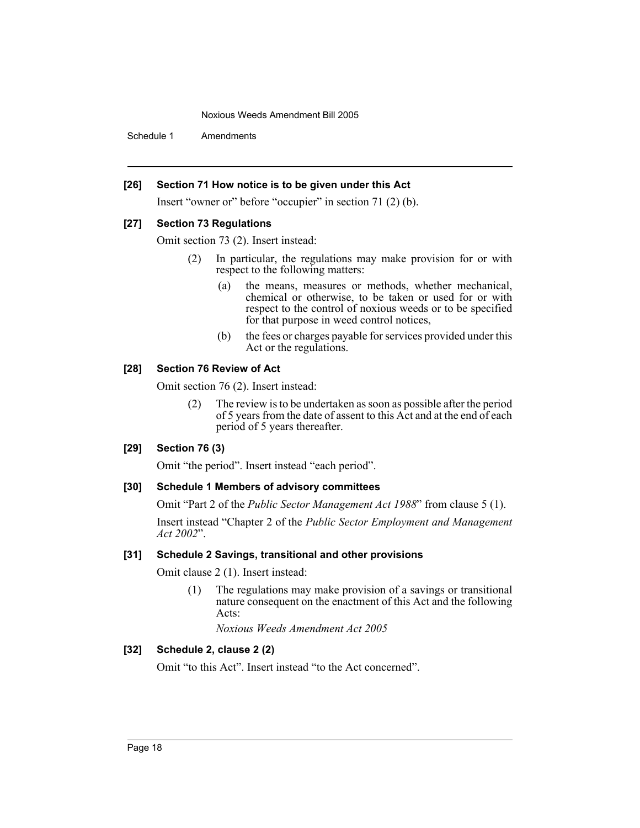Schedule 1 Amendments

# **[26] Section 71 How notice is to be given under this Act**

Insert "owner or" before "occupier" in section 71 (2) (b).

## **[27] Section 73 Regulations**

Omit section 73 (2). Insert instead:

- (2) In particular, the regulations may make provision for or with respect to the following matters:
	- (a) the means, measures or methods, whether mechanical, chemical or otherwise, to be taken or used for or with respect to the control of noxious weeds or to be specified for that purpose in weed control notices,
	- (b) the fees or charges payable for services provided under this Act or the regulations.

# **[28] Section 76 Review of Act**

Omit section 76 (2). Insert instead:

(2) The review is to be undertaken as soon as possible after the period of 5 years from the date of assent to this Act and at the end of each period of 5 years thereafter.

## **[29] Section 76 (3)**

Omit "the period". Insert instead "each period".

## **[30] Schedule 1 Members of advisory committees**

Omit "Part 2 of the *Public Sector Management Act 1988*" from clause 5 (1).

Insert instead "Chapter 2 of the *Public Sector Employment and Management Act 2002*".

## **[31] Schedule 2 Savings, transitional and other provisions**

Omit clause 2 (1). Insert instead:

(1) The regulations may make provision of a savings or transitional nature consequent on the enactment of this Act and the following Acts:

*Noxious Weeds Amendment Act 2005*

# **[32] Schedule 2, clause 2 (2)**

Omit "to this Act". Insert instead "to the Act concerned".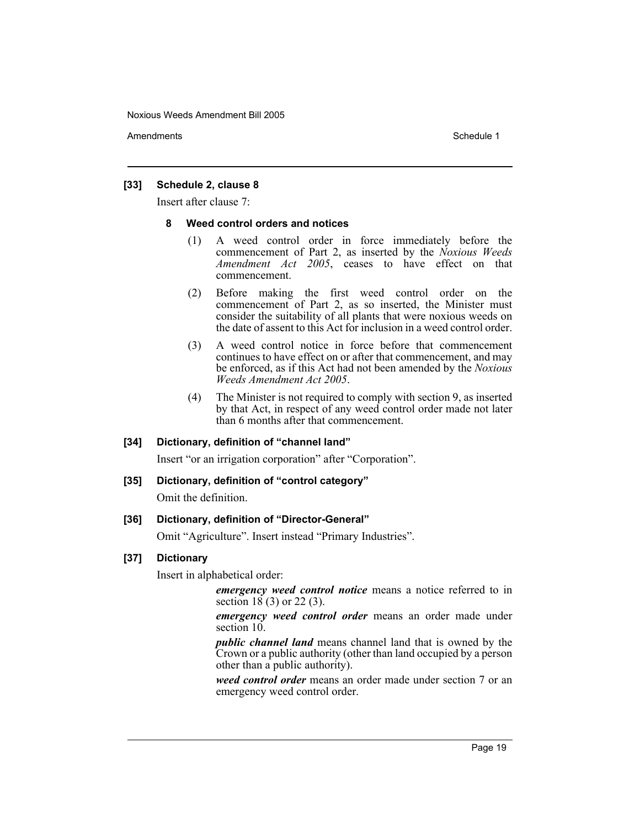Amendments **Amendments** Schedule 1

## **[33] Schedule 2, clause 8**

Insert after clause 7:

# **8 Weed control orders and notices**

- (1) A weed control order in force immediately before the commencement of Part 2, as inserted by the *Noxious Weeds Amendment Act 2005*, ceases to have effect on that commencement.
- (2) Before making the first weed control order on the commencement of Part 2, as so inserted, the Minister must consider the suitability of all plants that were noxious weeds on the date of assent to this Act for inclusion in a weed control order.
- (3) A weed control notice in force before that commencement continues to have effect on or after that commencement, and may be enforced, as if this Act had not been amended by the *Noxious Weeds Amendment Act 2005*.
- (4) The Minister is not required to comply with section 9, as inserted by that Act, in respect of any weed control order made not later than 6 months after that commencement.

## **[34] Dictionary, definition of "channel land"**

Insert "or an irrigation corporation" after "Corporation".

## **[35] Dictionary, definition of "control category"**

Omit the definition.

## **[36] Dictionary, definition of "Director-General"**

Omit "Agriculture". Insert instead "Primary Industries".

## **[37] Dictionary**

Insert in alphabetical order:

*emergency weed control notice* means a notice referred to in section 18 (3) or 22 (3).

*emergency weed control order* means an order made under section 10.

*public channel land* means channel land that is owned by the Crown or a public authority (other than land occupied by a person other than a public authority).

*weed control order* means an order made under section 7 or an emergency weed control order.